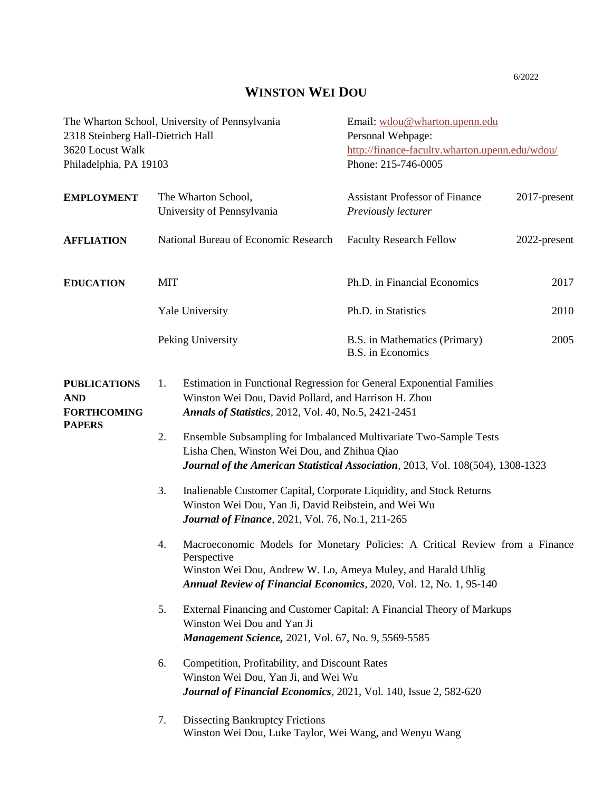## **WINSTON WEI DOU**

| The Wharton School, University of Pennsylvania<br>2318 Steinberg Hall-Dietrich Hall<br>3620 Locust Walk<br>Philadelphia, PA 19103 |                                                                                                                                                                                                                                                                                                                                                                                                                                                                                                                                                |                                                                                                                                                             | Email: wdou@wharton.upenn.edu<br>Personal Webpage:<br>http://finance-faculty.wharton.upenn.edu/wdou/<br>Phone: 215-746-0005 |              |
|-----------------------------------------------------------------------------------------------------------------------------------|------------------------------------------------------------------------------------------------------------------------------------------------------------------------------------------------------------------------------------------------------------------------------------------------------------------------------------------------------------------------------------------------------------------------------------------------------------------------------------------------------------------------------------------------|-------------------------------------------------------------------------------------------------------------------------------------------------------------|-----------------------------------------------------------------------------------------------------------------------------|--------------|
| <b>EMPLOYMENT</b>                                                                                                                 |                                                                                                                                                                                                                                                                                                                                                                                                                                                                                                                                                | The Wharton School,<br>University of Pennsylvania                                                                                                           | <b>Assistant Professor of Finance</b><br>Previously lecturer                                                                | 2017-present |
| <b>AFFLIATION</b>                                                                                                                 | National Bureau of Economic Research                                                                                                                                                                                                                                                                                                                                                                                                                                                                                                           |                                                                                                                                                             | <b>Faculty Research Fellow</b>                                                                                              | 2022-present |
| <b>EDUCATION</b>                                                                                                                  | <b>MIT</b>                                                                                                                                                                                                                                                                                                                                                                                                                                                                                                                                     |                                                                                                                                                             | Ph.D. in Financial Economics                                                                                                | 2017         |
|                                                                                                                                   | <b>Yale University</b>                                                                                                                                                                                                                                                                                                                                                                                                                                                                                                                         |                                                                                                                                                             | Ph.D. in Statistics                                                                                                         | 2010         |
|                                                                                                                                   | Peking University                                                                                                                                                                                                                                                                                                                                                                                                                                                                                                                              |                                                                                                                                                             | B.S. in Mathematics (Primary)<br><b>B.S.</b> in Economics                                                                   | 2005         |
| <b>PUBLICATIONS</b><br><b>AND</b><br><b>FORTHCOMING</b><br><b>PAPERS</b>                                                          | Estimation in Functional Regression for General Exponential Families<br>1.<br>Winston Wei Dou, David Pollard, and Harrison H. Zhou<br>Annals of Statistics, 2012, Vol. 40, No.5, 2421-2451<br>2.<br>Ensemble Subsampling for Imbalanced Multivariate Two-Sample Tests<br>Lisha Chen, Winston Wei Dou, and Zhihua Qiao<br>Journal of the American Statistical Association, 2013, Vol. 108(504), 1308-1323<br>3.<br>Inalienable Customer Capital, Corporate Liquidity, and Stock Returns<br>Winston Wei Dou, Yan Ji, David Reibstein, and Wei Wu |                                                                                                                                                             |                                                                                                                             |              |
|                                                                                                                                   | <b>Journal of Finance</b> , 2021, Vol. 76, No.1, 211-265<br>4.<br>Macroeconomic Models for Monetary Policies: A Critical Review from a Finance<br>Perspective<br>Winston Wei Dou, Andrew W. Lo, Ameya Muley, and Harald Uhlig<br>Annual Review of Financial Economics, 2020, Vol. 12, No. 1, 95-140                                                                                                                                                                                                                                            |                                                                                                                                                             |                                                                                                                             |              |
|                                                                                                                                   | 5.                                                                                                                                                                                                                                                                                                                                                                                                                                                                                                                                             | External Financing and Customer Capital: A Financial Theory of Markups<br>Winston Wei Dou and Yan Ji<br>Management Science, 2021, Vol. 67, No. 9, 5569-5585 |                                                                                                                             |              |
|                                                                                                                                   | 6.                                                                                                                                                                                                                                                                                                                                                                                                                                                                                                                                             | Competition, Profitability, and Discount Rates<br>Winston Wei Dou, Yan Ji, and Wei Wu<br>Journal of Financial Economics, 2021, Vol. 140, Issue 2, 582-620   |                                                                                                                             |              |
|                                                                                                                                   | 7.                                                                                                                                                                                                                                                                                                                                                                                                                                                                                                                                             | <b>Dissecting Bankruptcy Frictions</b><br>Winston Wei Dou, Luke Taylor, Wei Wang, and Wenyu Wang                                                            |                                                                                                                             |              |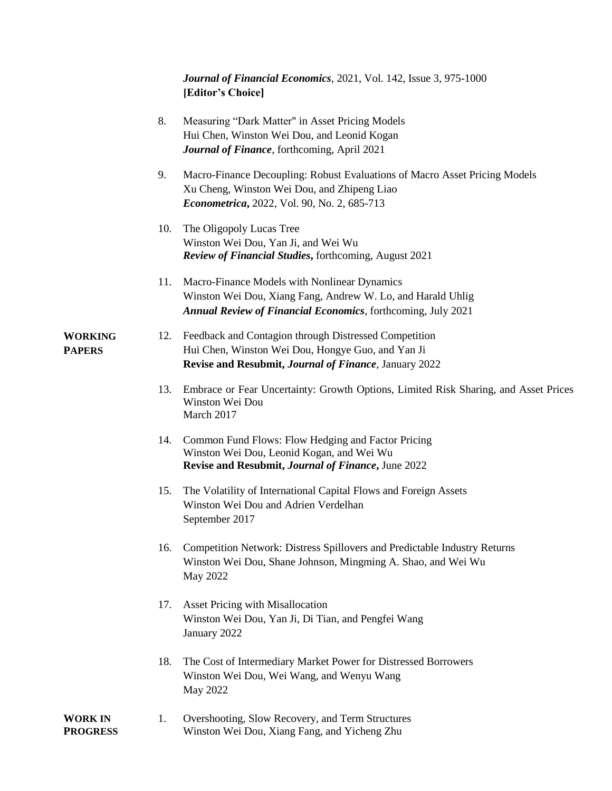*Journal of Financial Economics*, 2021, Vol. 142, Issue 3, 975-1000 **[Editor's Choice]**

|                                 | 8.  | Measuring "Dark Matter" in Asset Pricing Models<br>Hui Chen, Winston Wei Dou, and Leonid Kogan<br>Journal of Finance, forthcoming, April 2021                                       |
|---------------------------------|-----|-------------------------------------------------------------------------------------------------------------------------------------------------------------------------------------|
|                                 | 9.  | Macro-Finance Decoupling: Robust Evaluations of Macro Asset Pricing Models<br>Xu Cheng, Winston Wei Dou, and Zhipeng Liao<br>Econometrica, 2022, Vol. 90, No. 2, 685-713            |
|                                 | 10. | The Oligopoly Lucas Tree<br>Winston Wei Dou, Yan Ji, and Wei Wu<br><b>Review of Financial Studies, forthcoming, August 2021</b>                                                     |
|                                 | 11. | Macro-Finance Models with Nonlinear Dynamics<br>Winston Wei Dou, Xiang Fang, Andrew W. Lo, and Harald Uhlig<br><b>Annual Review of Financial Economics</b> , forthcoming, July 2021 |
| <b>WORKING</b><br><b>PAPERS</b> | 12. | Feedback and Contagion through Distressed Competition<br>Hui Chen, Winston Wei Dou, Hongye Guo, and Yan Ji<br>Revise and Resubmit, Journal of Finance, January 2022                 |
|                                 | 13. | Embrace or Fear Uncertainty: Growth Options, Limited Risk Sharing, and Asset Prices<br>Winston Wei Dou<br>March 2017                                                                |
|                                 | 14. | Common Fund Flows: Flow Hedging and Factor Pricing<br>Winston Wei Dou, Leonid Kogan, and Wei Wu<br>Revise and Resubmit, Journal of Finance, June 2022                               |
|                                 | 15. | The Volatility of International Capital Flows and Foreign Assets<br>Winston Wei Dou and Adrien Verdelhan<br>September 2017                                                          |
|                                 | 16. | Competition Network: Distress Spillovers and Predictable Industry Returns<br>Winston Wei Dou, Shane Johnson, Mingming A. Shao, and Wei Wu<br>May 2022                               |
|                                 | 17. | Asset Pricing with Misallocation<br>Winston Wei Dou, Yan Ji, Di Tian, and Pengfei Wang<br>January 2022                                                                              |
|                                 | 18. | The Cost of Intermediary Market Power for Distressed Borrowers<br>Winston Wei Dou, Wei Wang, and Wenyu Wang<br>May 2022                                                             |
| <b>WORK IN</b>                  | 1.  | Overshooting, Slow Recovery, and Term Structures                                                                                                                                    |

## **PROGRESS** Winston Wei Dou, Xiang Fang, and Yicheng Zhu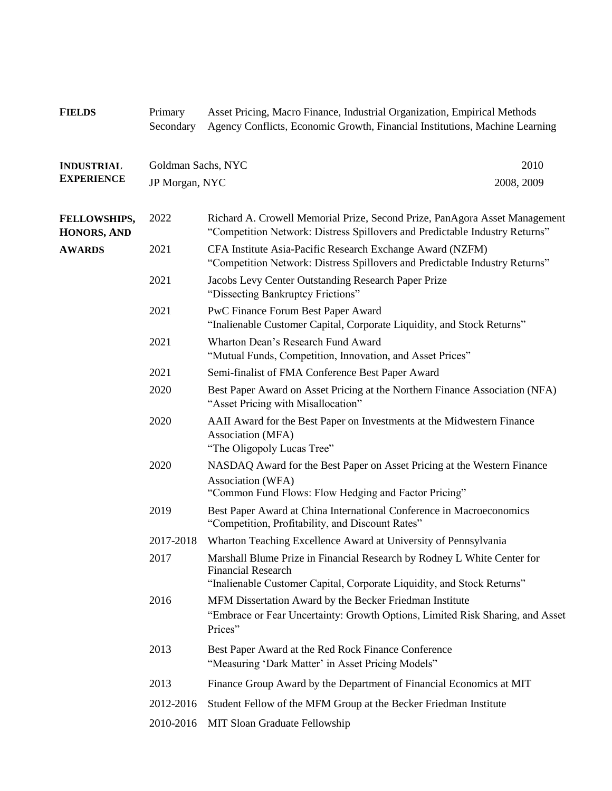**FIELDS** Primary Asset Pricing, Macro Finance, Industrial Organization, Empirical Methods Secondary Agency Conflicts, Economic Growth, Financial Institutions, Machine Learning **INDUSTRIAL EXPERIENCE** Goldman Sachs, NYC 2010 JP Morgan, NYC 2008, 2009 **FELLOWSHIPS,** 2022 Richard A. Crowell Memorial Prize, Second Prize, PanAgora Asset Management **HONORS, AND** "Competition Network: Distress Spillovers and Predictable Industry Returns" **AWARDS** 2021 CFA Institute Asia-Pacific Research Exchange Award (NZFM) "Competition Network: Distress Spillovers and Predictable Industry Returns" 2021 Jacobs Levy Center Outstanding Research Paper Prize "Dissecting Bankruptcy Frictions" 2021 PwC Finance Forum Best Paper Award "Inalienable Customer Capital, Corporate Liquidity, and Stock Returns" 2021 Wharton Dean's Research Fund Award "Mutual Funds, Competition, Innovation, and Asset Prices" 2021 Semi-finalist of FMA Conference Best Paper Award 2020 Best Paper Award on Asset Pricing at the Northern Finance Association (NFA) "Asset Pricing with Misallocation" 2020 AAII Award for the Best Paper on Investments at the Midwestern Finance Association (MFA) "The Oligopoly Lucas Tree" 2020 NASDAQ Award for the Best Paper on Asset Pricing at the Western Finance Association (WFA) "Common Fund Flows: Flow Hedging and Factor Pricing" 2019 Best Paper Award at China International Conference in Macroeconomics "Competition, Profitability, and Discount Rates" 2017-2018 Wharton Teaching Excellence Award at University of Pennsylvania 2017 Marshall Blume Prize in Financial Research by Rodney L White Center for Financial Research "Inalienable Customer Capital, Corporate Liquidity, and Stock Returns" 2016 MFM Dissertation Award by the Becker Friedman Institute "Embrace or Fear Uncertainty: Growth Options, Limited Risk Sharing, and Asset Prices" 2013 Best Paper Award at the Red Rock Finance Conference "Measuring 'Dark Matter' in Asset Pricing Models" 2013 Finance Group Award by the Department of Financial Economics at MIT 2012-2016 Student Fellow of the MFM Group at the Becker Friedman Institute 2010-2016 MIT Sloan Graduate Fellowship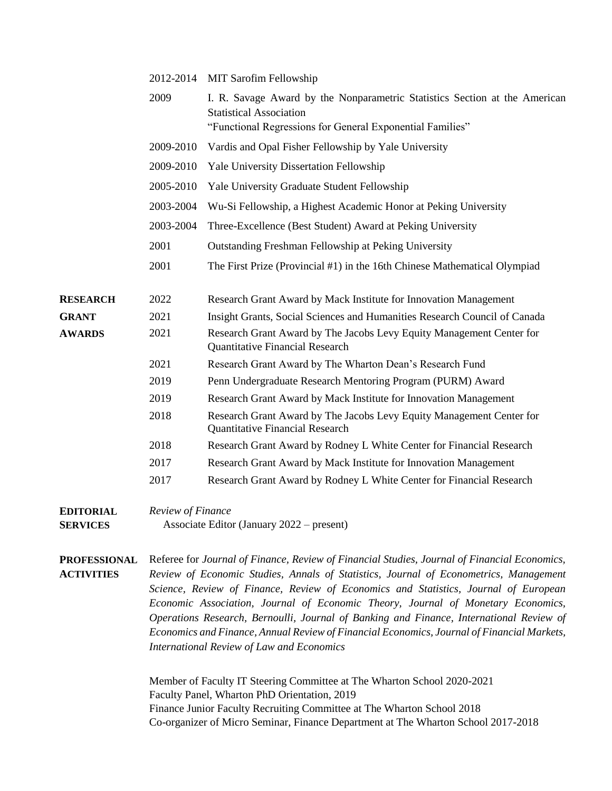|                 | 2012-2014 | <b>MIT Sarofim Fellowship</b>                                                                                  |
|-----------------|-----------|----------------------------------------------------------------------------------------------------------------|
|                 | 2009      | I. R. Savage Award by the Nonparametric Statistics Section at the American<br><b>Statistical Association</b>   |
|                 |           | "Functional Regressions for General Exponential Families"                                                      |
|                 | 2009-2010 | Vardis and Opal Fisher Fellowship by Yale University                                                           |
|                 | 2009-2010 | Yale University Dissertation Fellowship                                                                        |
|                 | 2005-2010 | Yale University Graduate Student Fellowship                                                                    |
|                 | 2003-2004 | Wu-Si Fellowship, a Highest Academic Honor at Peking University                                                |
|                 | 2003-2004 | Three-Excellence (Best Student) Award at Peking University                                                     |
|                 | 2001      | Outstanding Freshman Fellowship at Peking University                                                           |
|                 | 2001      | The First Prize (Provincial #1) in the 16th Chinese Mathematical Olympiad                                      |
| <b>RESEARCH</b> | 2022      | Research Grant Award by Mack Institute for Innovation Management                                               |
| <b>GRANT</b>    | 2021      | Insight Grants, Social Sciences and Humanities Research Council of Canada                                      |
| <b>AWARDS</b>   | 2021      | Research Grant Award by The Jacobs Levy Equity Management Center for<br><b>Quantitative Financial Research</b> |
|                 | 2021      | Research Grant Award by The Wharton Dean's Research Fund                                                       |
|                 | 2019      | Penn Undergraduate Research Mentoring Program (PURM) Award                                                     |
|                 | 2019      | Research Grant Award by Mack Institute for Innovation Management                                               |
|                 | 2018      | Research Grant Award by The Jacobs Levy Equity Management Center for<br><b>Quantitative Financial Research</b> |
|                 | 2018      | Research Grant Award by Rodney L White Center for Financial Research                                           |
|                 | 2017      | Research Grant Award by Mack Institute for Innovation Management                                               |
|                 | 2017      | Research Grant Award by Rodney L White Center for Financial Research                                           |
|                 |           |                                                                                                                |

## **EDITORIAL** *Review of Finance*  **SERVICES** Associate Editor (January 2022 – present)

**PROFESSIONAL ACTIVITIES** Referee for *Journal of Finance, Review of Financial Studies, Journal of Financial Economics, Review of Economic Studies, Annals of Statistics, Journal of Econometrics, Management Science, Review of Finance, Review of Economics and Statistics, Journal of European Economic Association, Journal of Economic Theory, Journal of Monetary Economics, Operations Research, Bernoulli, Journal of Banking and Finance, International Review of Economics and Finance, Annual Review of Financial Economics, Journal of Financial Markets, International Review of Law and Economics*

> Member of Faculty IT Steering Committee at The Wharton School 2020-2021 Faculty Panel, Wharton PhD Orientation, 2019 Finance Junior Faculty Recruiting Committee at The Wharton School 2018 Co-organizer of Micro Seminar, Finance Department at The Wharton School 2017-2018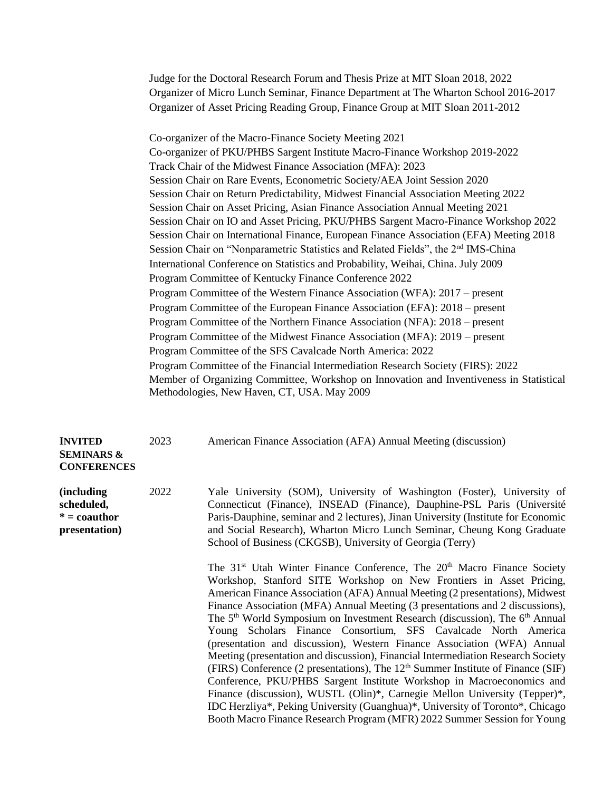Judge for the Doctoral Research Forum and Thesis Prize at MIT Sloan 2018, 2022 Organizer of Micro Lunch Seminar, Finance Department at The Wharton School 2016-2017 Organizer of Asset Pricing Reading Group, Finance Group at MIT Sloan 2011-2012

Co-organizer of the Macro-Finance Society Meeting 2021 Co-organizer of PKU/PHBS Sargent Institute Macro-Finance Workshop 2019-2022 Track Chair of the Midwest Finance Association (MFA): 2023 Session Chair on Rare Events, Econometric Society/AEA Joint Session 2020 Session Chair on Return Predictability, Midwest Financial Association Meeting 2022 Session Chair on Asset Pricing, Asian Finance Association Annual Meeting 2021 Session Chair on IO and Asset Pricing, PKU/PHBS Sargent Macro-Finance Workshop 2022 Session Chair on International Finance, European Finance Association (EFA) Meeting 2018 Session Chair on "Nonparametric Statistics and Related Fields", the 2<sup>nd</sup> IMS-China International Conference on Statistics and Probability, Weihai, China. July 2009 Program Committee of Kentucky Finance Conference 2022 Program Committee of the Western Finance Association (WFA): 2017 – present Program Committee of the European Finance Association (EFA): 2018 – present Program Committee of the Northern Finance Association (NFA): 2018 – present Program Committee of the Midwest Finance Association (MFA): 2019 – present Program Committee of the SFS Cavalcade North America: 2022 Program Committee of the Financial Intermediation Research Society (FIRS): 2022 Member of Organizing Committee, Workshop on Innovation and Inventiveness in Statistical Methodologies, New Haven, CT, USA. May 2009

| <b>INVITED</b><br><b>SEMINARS &amp;</b><br><b>CONFERENCES</b>      | 2023 | American Finance Association (AFA) Annual Meeting (discussion)                                                                                                                                                                                                                                                                                                                                                                                                                                                                                                                                                                                                                                                                                                                                                                                                                                                                                                                                                                                                                                     |
|--------------------------------------------------------------------|------|----------------------------------------------------------------------------------------------------------------------------------------------------------------------------------------------------------------------------------------------------------------------------------------------------------------------------------------------------------------------------------------------------------------------------------------------------------------------------------------------------------------------------------------------------------------------------------------------------------------------------------------------------------------------------------------------------------------------------------------------------------------------------------------------------------------------------------------------------------------------------------------------------------------------------------------------------------------------------------------------------------------------------------------------------------------------------------------------------|
| (including)<br>scheduled,<br>$* = \text{cauthor}$<br>presentation) | 2022 | Yale University (SOM), University of Washington (Foster), University of<br>Connecticut (Finance), INSEAD (Finance), Dauphine-PSL Paris (Université<br>Paris-Dauphine, seminar and 2 lectures), Jinan University (Institute for Economic<br>and Social Research), Wharton Micro Lunch Seminar, Cheung Kong Graduate<br>School of Business (CKGSB), University of Georgia (Terry)                                                                                                                                                                                                                                                                                                                                                                                                                                                                                                                                                                                                                                                                                                                    |
|                                                                    |      | The 31 <sup>st</sup> Utah Winter Finance Conference, The 20 <sup>th</sup> Macro Finance Society<br>Workshop, Stanford SITE Workshop on New Frontiers in Asset Pricing,<br>American Finance Association (AFA) Annual Meeting (2 presentations), Midwest<br>Finance Association (MFA) Annual Meeting (3 presentations and 2 discussions),<br>The 5 <sup>th</sup> World Symposium on Investment Research (discussion), The 6 <sup>th</sup> Annual<br>Young Scholars Finance Consortium, SFS Cavalcade North America<br>(presentation and discussion), Western Finance Association (WFA) Annual<br>Meeting (presentation and discussion), Financial Intermediation Research Society<br>(FIRS) Conference (2 presentations), The 12 <sup>th</sup> Summer Institute of Finance (SIF)<br>Conference, PKU/PHBS Sargent Institute Workshop in Macroeconomics and<br>Finance (discussion), WUSTL (Olin)*, Carnegie Mellon University (Tepper)*,<br>IDC Herzliya*, Peking University (Guanghua)*, University of Toronto*, Chicago<br>Booth Macro Finance Research Program (MFR) 2022 Summer Session for Young |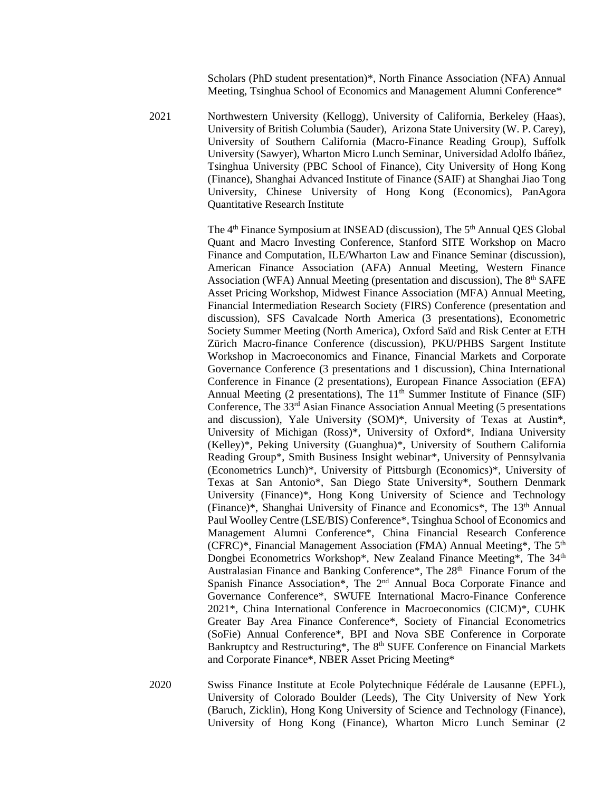Scholars (PhD student presentation)\*, North Finance Association (NFA) Annual Meeting, Tsinghua School of Economics and Management Alumni Conference\*

2021 Northwestern University (Kellogg), University of California, Berkeley (Haas), University of British Columbia (Sauder), Arizona State University (W. P. Carey), University of Southern California (Macro-Finance Reading Group), Suffolk University (Sawyer), Wharton Micro Lunch Seminar, Universidad Adolfo Ibáñez, Tsinghua University (PBC School of Finance), City University of Hong Kong (Finance), Shanghai Advanced Institute of Finance (SAIF) at Shanghai Jiao Tong University, Chinese University of Hong Kong (Economics), PanAgora Quantitative Research Institute

> The 4<sup>th</sup> Finance Symposium at INSEAD (discussion), The 5<sup>th</sup> Annual QES Global Quant and Macro Investing Conference, Stanford SITE Workshop on Macro Finance and Computation, ILE/Wharton Law and Finance Seminar (discussion), American Finance Association (AFA) Annual Meeting, Western Finance Association (WFA) Annual Meeting (presentation and discussion), The  $8<sup>th</sup>$  SAFE Asset Pricing Workshop, Midwest Finance Association (MFA) Annual Meeting, Financial Intermediation Research Society (FIRS) Conference (presentation and discussion), SFS Cavalcade North America (3 presentations), Econometric Society Summer Meeting (North America), Oxford Saïd and Risk Center at ETH Zürich Macro-finance Conference (discussion), PKU/PHBS Sargent Institute Workshop in Macroeconomics and Finance, Financial Markets and Corporate Governance Conference (3 presentations and 1 discussion), China International Conference in Finance (2 presentations), European Finance Association (EFA) Annual Meeting (2 presentations), The  $11<sup>th</sup>$  Summer Institute of Finance (SIF) Conference, The  $33<sup>rd</sup>$  Asian Finance Association Annual Meeting (5 presentations and discussion), Yale University (SOM)\*, University of Texas at Austin\*, University of Michigan (Ross)\*, University of Oxford\*, Indiana University (Kelley)\*, Peking University (Guanghua)\*, University of Southern California Reading Group\*, Smith Business Insight webinar\*, University of Pennsylvania (Econometrics Lunch)\*, University of Pittsburgh (Economics)\*, University of Texas at San Antonio\*, San Diego State University\*, Southern Denmark University (Finance)\*, Hong Kong University of Science and Technology (Finance)\*, Shanghai University of Finance and Economics\*, The 13<sup>th</sup> Annual Paul Woolley Centre (LSE/BIS) Conference\*, Tsinghua School of Economics and Management Alumni Conference\*, China Financial Research Conference (CFRC)\*, Financial Management Association (FMA) Annual Meeting\*, The  $5<sup>th</sup>$ Dongbei Econometrics Workshop\*, New Zealand Finance Meeting\*, The 34<sup>th</sup> Australasian Finance and Banking Conference\*, The 28<sup>th</sup> Finance Forum of the Spanish Finance Association\*, The 2<sup>nd</sup> Annual Boca Corporate Finance and Governance Conference\*, SWUFE International Macro-Finance Conference 2021\*, China International Conference in Macroeconomics (CICM)\*, CUHK Greater Bay Area Finance Conference\*, Society of Financial Econometrics (SoFie) Annual Conference\*, BPI and Nova SBE Conference in Corporate Bankruptcy and Restructuring\*, The 8<sup>th</sup> SUFE Conference on Financial Markets and Corporate Finance\*, NBER Asset Pricing Meeting\*

2020 Swiss Finance Institute at Ecole Polytechnique Fédérale de Lausanne (EPFL), University of Colorado Boulder (Leeds), The City University of New York (Baruch, Zicklin), Hong Kong University of Science and Technology (Finance), University of Hong Kong (Finance), Wharton Micro Lunch Seminar (2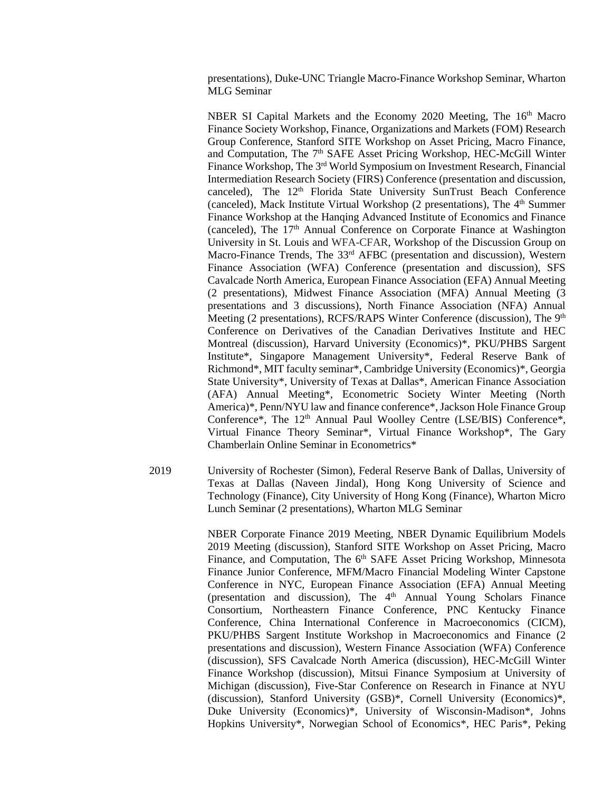presentations), Duke-UNC Triangle Macro-Finance Workshop Seminar, Wharton MLG Seminar

NBER SI Capital Markets and the Economy 2020 Meeting, The 16<sup>th</sup> Macro Finance Society Workshop, Finance, Organizations and Markets (FOM) Research Group Conference, Stanford SITE Workshop on Asset Pricing, Macro Finance, and Computation, The 7<sup>th</sup> SAFE Asset Pricing Workshop, HEC-McGill Winter Finance Workshop, The 3<sup>rd</sup> World Symposium on Investment Research, Financial Intermediation Research Society (FIRS) Conference (presentation and discussion, canceled), The 12<sup>th</sup> Florida State University SunTrust Beach Conference (canceled), Mack Institute Virtual Workshop (2 presentations), The 4<sup>th</sup> Summer Finance Workshop at the Hanqing Advanced Institute of Economics and Finance (canceled), The 17<sup>th</sup> Annual Conference on Corporate Finance at Washington University in St. Louis and WFA-CFAR, Workshop of the Discussion Group on Macro-Finance Trends, The 33<sup>rd</sup> AFBC (presentation and discussion), Western Finance Association (WFA) Conference (presentation and discussion), SFS Cavalcade North America, European Finance Association (EFA) Annual Meeting (2 presentations), Midwest Finance Association (MFA) Annual Meeting (3 presentations and 3 discussions), North Finance Association (NFA) Annual Meeting (2 presentations), RCFS/RAPS Winter Conference (discussion), The 9<sup>th</sup> Conference on Derivatives of the Canadian Derivatives Institute and HEC Montreal (discussion), Harvard University (Economics)\*, PKU/PHBS Sargent Institute\*, Singapore Management University\*, Federal Reserve Bank of Richmond\*, MIT faculty seminar\*, Cambridge University (Economics)\*, Georgia State University\*, University of Texas at Dallas\*, American Finance Association (AFA) Annual Meeting\*, Econometric Society Winter Meeting (North America)\*, Penn/NYU law and finance conference\*, Jackson Hole Finance Group Conference\*, The 12th Annual Paul Woolley Centre (LSE/BIS) Conference\*, Virtual Finance Theory Seminar\*, Virtual Finance Workshop\*, The Gary Chamberlain Online Seminar in Econometrics\*

2019 University of Rochester (Simon), Federal Reserve Bank of Dallas, University of Texas at Dallas (Naveen Jindal), Hong Kong University of Science and Technology (Finance), City University of Hong Kong (Finance), Wharton Micro Lunch Seminar (2 presentations), Wharton MLG Seminar

> NBER Corporate Finance 2019 Meeting, NBER Dynamic Equilibrium Models 2019 Meeting (discussion), Stanford SITE Workshop on Asset Pricing, Macro Finance, and Computation, The 6<sup>th</sup> SAFE Asset Pricing Workshop, Minnesota Finance Junior Conference, MFM/Macro Financial Modeling Winter Capstone Conference in NYC, European Finance Association (EFA) Annual Meeting (presentation and discussion), The  $4<sup>th</sup>$  Annual Young Scholars Finance Consortium, Northeastern Finance Conference, PNC Kentucky Finance Conference, China International Conference in Macroeconomics (CICM), PKU/PHBS Sargent Institute Workshop in Macroeconomics and Finance (2 presentations and discussion), Western Finance Association (WFA) Conference (discussion), SFS Cavalcade North America (discussion), HEC-McGill Winter Finance Workshop (discussion), Mitsui Finance Symposium at University of Michigan (discussion), Five-Star Conference on Research in Finance at NYU (discussion), Stanford University (GSB)\*, Cornell University (Economics)\*, Duke University (Economics)\*, University of Wisconsin-Madison\*, Johns Hopkins University\*, Norwegian School of Economics\*, HEC Paris\*, Peking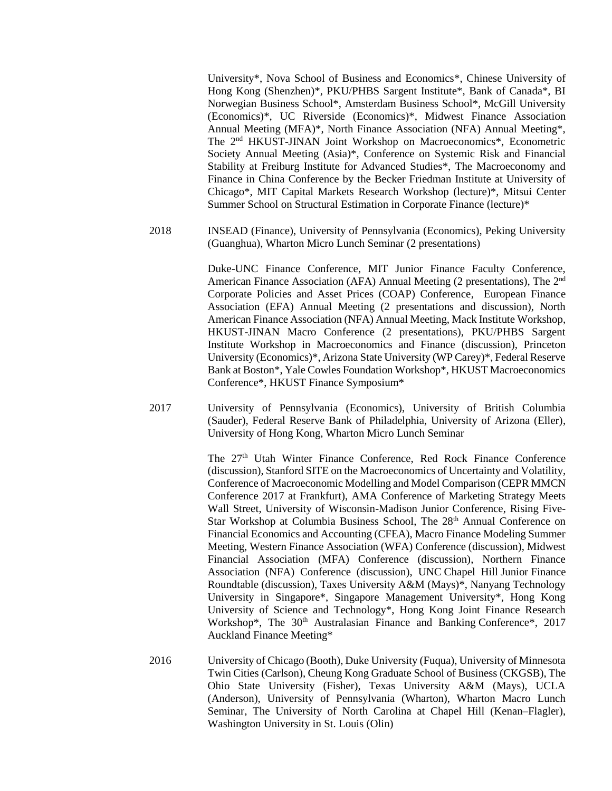University\*, Nova School of Business and Economics\*, Chinese University of Hong Kong (Shenzhen)\*, PKU/PHBS Sargent Institute\*, Bank of Canada\*, BI Norwegian Business School\*, Amsterdam Business School\*, McGill University (Economics)\*, UC Riverside (Economics)\*, Midwest Finance Association Annual Meeting (MFA)\*, North Finance Association (NFA) Annual Meeting\*, The 2nd HKUST-JINAN Joint Workshop on Macroeconomics\*, Econometric Society Annual Meeting (Asia)\*, Conference on Systemic Risk and Financial Stability at Freiburg Institute for Advanced Studies\*, The Macroeconomy and Finance in China Conference by the Becker Friedman Institute at University of Chicago\*, MIT Capital Markets Research Workshop (lecture)\*, Mitsui Center Summer School on Structural Estimation in Corporate Finance (lecture)\*

2018 INSEAD (Finance), University of Pennsylvania (Economics), Peking University (Guanghua), Wharton Micro Lunch Seminar (2 presentations)

> Duke-UNC Finance Conference, MIT Junior Finance Faculty Conference, American Finance Association (AFA) Annual Meeting (2 presentations), The 2<sup>nd</sup> Corporate Policies and Asset Prices (COAP) Conference, European Finance Association (EFA) Annual Meeting (2 presentations and discussion), North American Finance Association (NFA) Annual Meeting, Mack Institute Workshop, HKUST-JINAN Macro Conference (2 presentations), PKU/PHBS Sargent Institute Workshop in Macroeconomics and Finance (discussion), Princeton University (Economics)\*, Arizona State University (WP Carey)\*, Federal Reserve Bank at Boston\*, Yale Cowles Foundation Workshop\*, HKUST Macroeconomics Conference\*, HKUST Finance Symposium\*

2017 University of Pennsylvania (Economics), University of British Columbia (Sauder), Federal Reserve Bank of Philadelphia, University of Arizona (Eller), University of Hong Kong, Wharton Micro Lunch Seminar

> The 27<sup>th</sup> Utah Winter Finance Conference, Red Rock Finance Conference (discussion), Stanford SITE on the Macroeconomics of Uncertainty and Volatility, Conference of Macroeconomic Modelling and Model Comparison (CEPR MMCN Conference 2017 at Frankfurt), AMA Conference of Marketing Strategy Meets Wall Street, University of Wisconsin-Madison Junior Conference, Rising Five-Star Workshop at Columbia Business School, The 28<sup>th</sup> Annual Conference on Financial Economics and Accounting (CFEA), Macro Finance Modeling Summer Meeting, Western Finance Association (WFA) Conference (discussion), Midwest Financial Association (MFA) Conference (discussion), Northern Finance Association (NFA) Conference (discussion), UNC Chapel Hill Junior Finance Roundtable (discussion), Taxes University A&M (Mays)\*, Nanyang Technology University in Singapore\*, Singapore Management University\*, Hong Kong University of Science and Technology\*, Hong Kong Joint Finance Research Workshop\*, The 30<sup>th</sup> Australasian Finance and Banking Conference\*, 2017 Auckland Finance Meeting\*

2016 University of Chicago (Booth), Duke University (Fuqua), University of Minnesota Twin Cities (Carlson), Cheung Kong Graduate School of Business (CKGSB), The Ohio State University (Fisher), Texas University A&M (Mays), UCLA (Anderson), University of Pennsylvania (Wharton), Wharton Macro Lunch Seminar, The University of North Carolina at Chapel Hill (Kenan–Flagler), Washington University in St. Louis (Olin)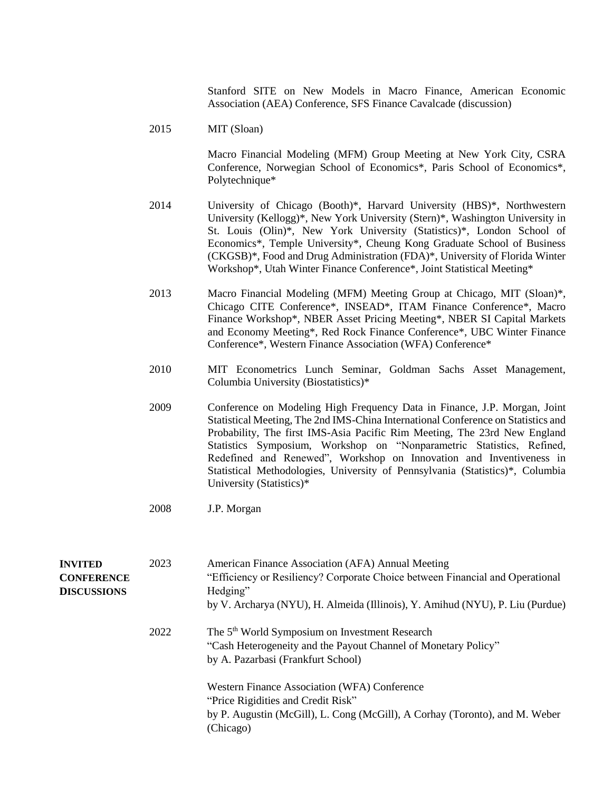Stanford SITE on New Models in Macro Finance, American Economic Association (AEA) Conference, SFS Finance Cavalcade (discussion)

2015 MIT (Sloan)

Macro Financial Modeling (MFM) Group Meeting at New York City, CSRA Conference, Norwegian School of Economics\*, Paris School of Economics\*, Polytechnique\*

- 2014 University of Chicago (Booth)\*, Harvard University (HBS)\*, Northwestern University (Kellogg)\*, New York University (Stern)\*, Washington University in St. Louis (Olin)\*, New York University (Statistics)\*, London School of Economics\*, Temple University\*, Cheung Kong Graduate School of Business (CKGSB)\*, Food and Drug Administration (FDA)\*, University of Florida Winter Workshop\*, Utah Winter Finance Conference\*, Joint Statistical Meeting\*
- 2013 Macro Financial Modeling (MFM) Meeting Group at Chicago, MIT (Sloan)\*, Chicago CITE Conference\*, INSEAD\*, ITAM Finance Conference\*, Macro Finance Workshop\*, NBER Asset Pricing Meeting\*, NBER SI Capital Markets and Economy Meeting\*, Red Rock Finance Conference\*, UBC Winter Finance Conference\*, Western Finance Association (WFA) Conference\*
- 2010 MIT Econometrics Lunch Seminar, Goldman Sachs Asset Management, Columbia University (Biostatistics)\*
- 2009 Conference on Modeling High Frequency Data in Finance, J.P. Morgan, Joint Statistical Meeting, The 2nd IMS-China International Conference on Statistics and Probability, The first IMS-Asia Pacific Rim Meeting, The 23rd New England Statistics Symposium, Workshop on "Nonparametric Statistics, Refined, Redefined and Renewed", Workshop on Innovation and Inventiveness in Statistical Methodologies, University of Pennsylvania (Statistics)\*, Columbia University (Statistics)\*
- 2008 J.P. Morgan

| <b>INVITED</b><br><b>CONFERENCE</b><br><b>DISCUSSIONS</b> | 2023 | American Finance Association (AFA) Annual Meeting<br>"Efficiency or Resiliency? Corporate Choice between Financial and Operational<br>Hedging"<br>by V. Archarya (NYU), H. Almeida (Illinois), Y. Amihud (NYU), P. Liu (Purdue) |
|-----------------------------------------------------------|------|---------------------------------------------------------------------------------------------------------------------------------------------------------------------------------------------------------------------------------|
|                                                           | 2022 | The 5 <sup>th</sup> World Symposium on Investment Research<br>"Cash Heterogeneity and the Payout Channel of Monetary Policy"<br>by A. Pazarbasi (Frankfurt School)                                                              |
|                                                           |      | Western Finance Association (WFA) Conference<br>"Price Rigidities and Credit Risk"<br>by P. Augustin (McGill), L. Cong (McGill), A Corhay (Toronto), and M. Weber<br>(Chicago)                                                  |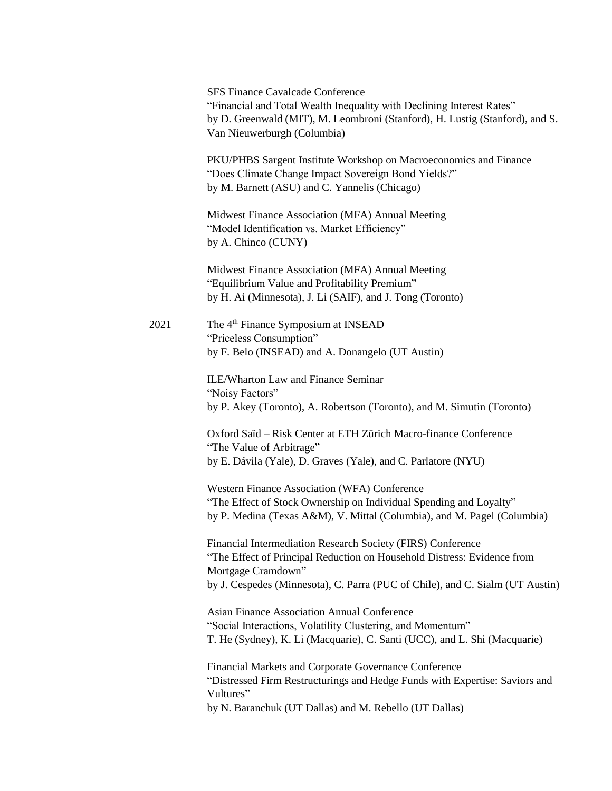|      | <b>SFS Finance Cavalcade Conference</b><br>"Financial and Total Wealth Inequality with Declining Interest Rates"<br>by D. Greenwald (MIT), M. Leombroni (Stanford), H. Lustig (Stanford), and S.<br>Van Nieuwerburgh (Columbia)               |
|------|-----------------------------------------------------------------------------------------------------------------------------------------------------------------------------------------------------------------------------------------------|
|      | PKU/PHBS Sargent Institute Workshop on Macroeconomics and Finance<br>"Does Climate Change Impact Sovereign Bond Yields?"<br>by M. Barnett (ASU) and C. Yannelis (Chicago)                                                                     |
|      | Midwest Finance Association (MFA) Annual Meeting<br>"Model Identification vs. Market Efficiency"<br>by A. Chinco (CUNY)                                                                                                                       |
|      | Midwest Finance Association (MFA) Annual Meeting<br>"Equilibrium Value and Profitability Premium"<br>by H. Ai (Minnesota), J. Li (SAIF), and J. Tong (Toronto)                                                                                |
| 2021 | The 4 <sup>th</sup> Finance Symposium at INSEAD<br>"Priceless Consumption"<br>by F. Belo (INSEAD) and A. Donangelo (UT Austin)                                                                                                                |
|      | ILE/Wharton Law and Finance Seminar<br>"Noisy Factors"<br>by P. Akey (Toronto), A. Robertson (Toronto), and M. Simutin (Toronto)                                                                                                              |
|      | Oxford Saïd - Risk Center at ETH Zürich Macro-finance Conference<br>"The Value of Arbitrage"<br>by E. Dávila (Yale), D. Graves (Yale), and C. Parlatore (NYU)                                                                                 |
|      | Western Finance Association (WFA) Conference<br>"The Effect of Stock Ownership on Individual Spending and Loyalty"<br>by P. Medina (Texas A&M), V. Mittal (Columbia), and M. Pagel (Columbia)                                                 |
|      | Financial Intermediation Research Society (FIRS) Conference<br>"The Effect of Principal Reduction on Household Distress: Evidence from<br>Mortgage Cramdown"<br>by J. Cespedes (Minnesota), C. Parra (PUC of Chile), and C. Sialm (UT Austin) |
|      | <b>Asian Finance Association Annual Conference</b><br>"Social Interactions, Volatility Clustering, and Momentum"<br>T. He (Sydney), K. Li (Macquarie), C. Santi (UCC), and L. Shi (Macquarie)                                                 |
|      | Financial Markets and Corporate Governance Conference<br>"Distressed Firm Restructurings and Hedge Funds with Expertise: Saviors and<br>Vultures"<br>by N. Baranchuk (UT Dallas) and M. Rebello (UT Dallas)                                   |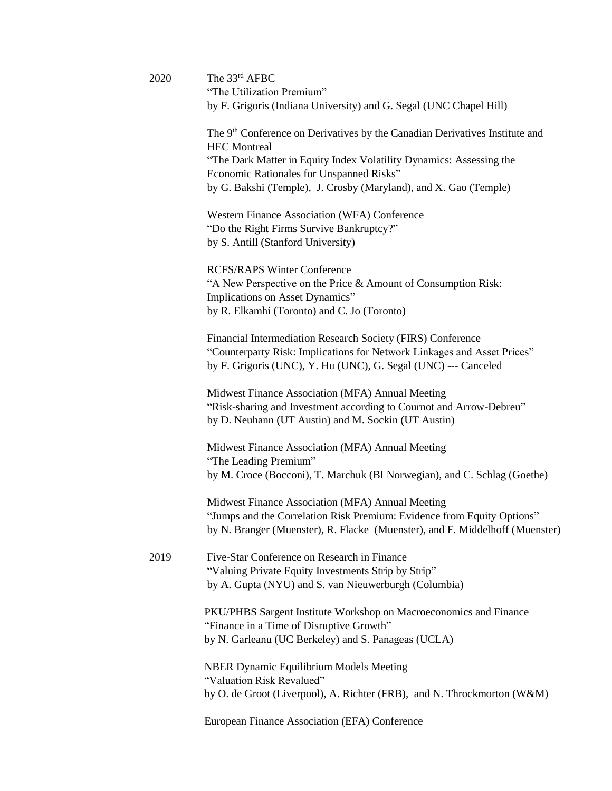| 2020 | The 33rd AFBC<br>"The Utilization Premium"                                                                                                                                                                 |
|------|------------------------------------------------------------------------------------------------------------------------------------------------------------------------------------------------------------|
|      | by F. Grigoris (Indiana University) and G. Segal (UNC Chapel Hill)                                                                                                                                         |
|      | The 9 <sup>th</sup> Conference on Derivatives by the Canadian Derivatives Institute and<br><b>HEC</b> Montreal                                                                                             |
|      | "The Dark Matter in Equity Index Volatility Dynamics: Assessing the<br>Economic Rationales for Unspanned Risks"                                                                                            |
|      | by G. Bakshi (Temple), J. Crosby (Maryland), and X. Gao (Temple)                                                                                                                                           |
|      | Western Finance Association (WFA) Conference<br>"Do the Right Firms Survive Bankruptcy?"                                                                                                                   |
|      | by S. Antill (Stanford University)                                                                                                                                                                         |
|      | <b>RCFS/RAPS Winter Conference</b><br>"A New Perspective on the Price & Amount of Consumption Risk:<br>Implications on Asset Dynamics"                                                                     |
|      | by R. Elkamhi (Toronto) and C. Jo (Toronto)                                                                                                                                                                |
|      | Financial Intermediation Research Society (FIRS) Conference<br>"Counterparty Risk: Implications for Network Linkages and Asset Prices"<br>by F. Grigoris (UNC), Y. Hu (UNC), G. Segal (UNC) --- Canceled   |
|      | Midwest Finance Association (MFA) Annual Meeting<br>"Risk-sharing and Investment according to Cournot and Arrow-Debreu"<br>by D. Neuhann (UT Austin) and M. Sockin (UT Austin)                             |
|      | Midwest Finance Association (MFA) Annual Meeting<br>"The Leading Premium"<br>by M. Croce (Bocconi), T. Marchuk (BI Norwegian), and C. Schlag (Goethe)                                                      |
|      | Midwest Finance Association (MFA) Annual Meeting<br>"Jumps and the Correlation Risk Premium: Evidence from Equity Options"<br>by N. Branger (Muenster), R. Flacke (Muenster), and F. Middelhoff (Muenster) |
| 2019 | Five-Star Conference on Research in Finance<br>"Valuing Private Equity Investments Strip by Strip"<br>by A. Gupta (NYU) and S. van Nieuwerburgh (Columbia)                                                 |
|      | PKU/PHBS Sargent Institute Workshop on Macroeconomics and Finance<br>"Finance in a Time of Disruptive Growth"<br>by N. Garleanu (UC Berkeley) and S. Panageas (UCLA)                                       |
|      | <b>NBER Dynamic Equilibrium Models Meeting</b><br>"Valuation Risk Revalued"                                                                                                                                |
|      | by O. de Groot (Liverpool), A. Richter (FRB), and N. Throckmorton (W&M)                                                                                                                                    |
|      | European Finance Association (EFA) Conference                                                                                                                                                              |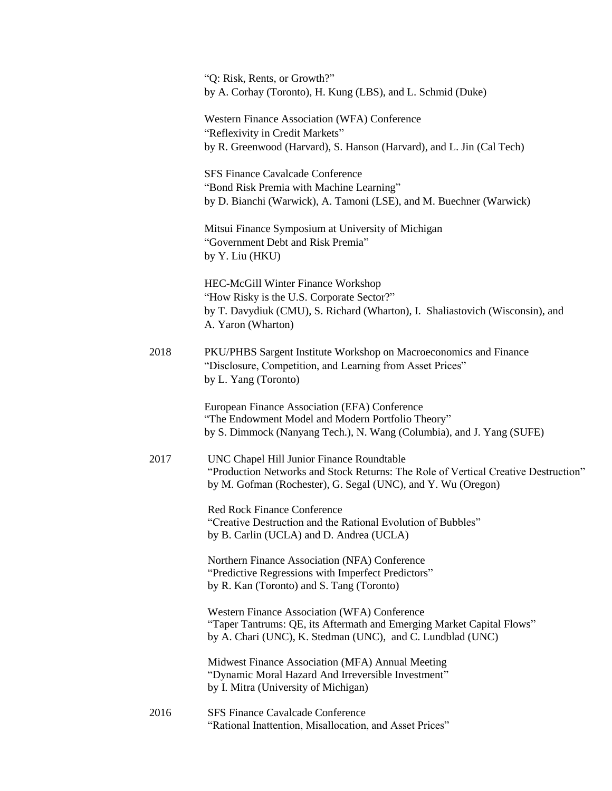|      | "Q: Risk, Rents, or Growth?"<br>by A. Corhay (Toronto), H. Kung (LBS), and L. Schmid (Duke)                                                                                                     |
|------|-------------------------------------------------------------------------------------------------------------------------------------------------------------------------------------------------|
|      | Western Finance Association (WFA) Conference<br>"Reflexivity in Credit Markets"<br>by R. Greenwood (Harvard), S. Hanson (Harvard), and L. Jin (Cal Tech)                                        |
|      | <b>SFS Finance Cavalcade Conference</b><br>"Bond Risk Premia with Machine Learning"<br>by D. Bianchi (Warwick), A. Tamoni (LSE), and M. Buechner (Warwick)                                      |
|      | Mitsui Finance Symposium at University of Michigan<br>"Government Debt and Risk Premia"<br>by Y. Liu (HKU)                                                                                      |
|      | HEC-McGill Winter Finance Workshop<br>"How Risky is the U.S. Corporate Sector?"<br>by T. Davydiuk (CMU), S. Richard (Wharton), I. Shaliastovich (Wisconsin), and<br>A. Yaron (Wharton)          |
| 2018 | PKU/PHBS Sargent Institute Workshop on Macroeconomics and Finance<br>"Disclosure, Competition, and Learning from Asset Prices"<br>by L. Yang (Toronto)                                          |
|      | European Finance Association (EFA) Conference<br>"The Endowment Model and Modern Portfolio Theory"<br>by S. Dimmock (Nanyang Tech.), N. Wang (Columbia), and J. Yang (SUFE)                     |
| 2017 | UNC Chapel Hill Junior Finance Roundtable<br>"Production Networks and Stock Returns: The Role of Vertical Creative Destruction"<br>by M. Gofman (Rochester), G. Segal (UNC), and Y. Wu (Oregon) |
|      | <b>Red Rock Finance Conference</b><br>"Creative Destruction and the Rational Evolution of Bubbles"<br>by B. Carlin (UCLA) and D. Andrea (UCLA)                                                  |
|      | Northern Finance Association (NFA) Conference<br>"Predictive Regressions with Imperfect Predictors"<br>by R. Kan (Toronto) and S. Tang (Toronto)                                                |
|      | Western Finance Association (WFA) Conference<br>"Taper Tantrums: QE, its Aftermath and Emerging Market Capital Flows"<br>by A. Chari (UNC), K. Stedman (UNC), and C. Lundblad (UNC)             |
|      | Midwest Finance Association (MFA) Annual Meeting<br>"Dynamic Moral Hazard And Irreversible Investment"<br>by I. Mitra (University of Michigan)                                                  |
| 2016 | <b>SFS Finance Cavalcade Conference</b><br>"Rational Inattention, Misallocation, and Asset Prices"                                                                                              |